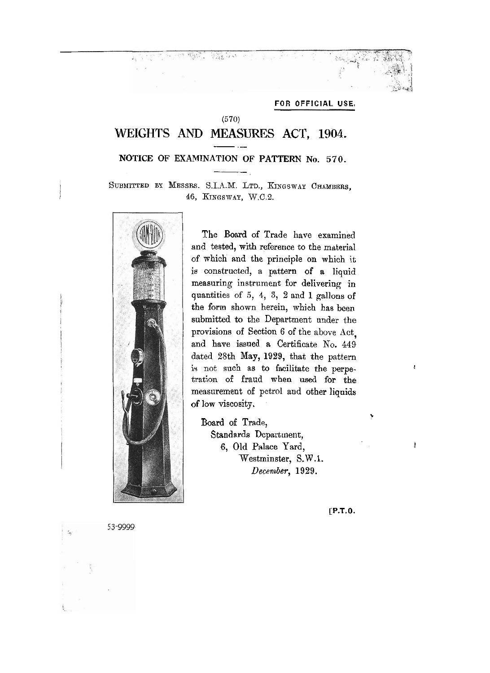#### **FOR OFFICIAL USE.**

### (570)

 $\sqrt{2\pi}$  and

## WEIGHTS AND MEASURES ACT, 1904.

# **NOTICE OF EXAMINATION OF PATTERN No. 570.**

SUBMITTED BY MESSES. S.I.A.M. LTD., KINGSWAY CHAMBERS. 46, EINGSWAY, W.C.2.



The Board of Trade have examined and tested, with reference to the material of which and the principle on which it **is** constructed, a pattern of a liquid measuring instrument for delivering in quantities of 5, 4, **3,** 2 and 1 gallons of the form shown herein, which has been submitted to the Department under the provisions of Section 6 of the above Act, and have issued a Certificate No. 449 dated 28th May, **1929,** that the pattern is not such as to facilitate the perpetration of fraud when used for the measurement of petrol and other liquids of low viscosity.

Board of Trade, Standards Department, *6,* Old Palace Yard, I Westminster, S.W.1. *December,* **1929.** 

**[P.T.O.** 

?

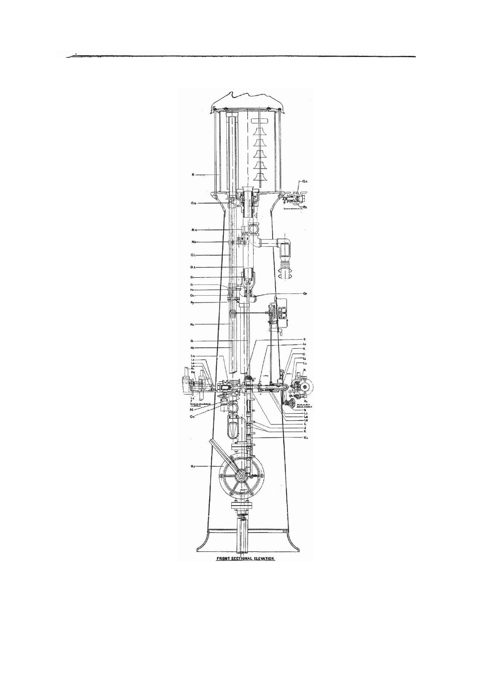